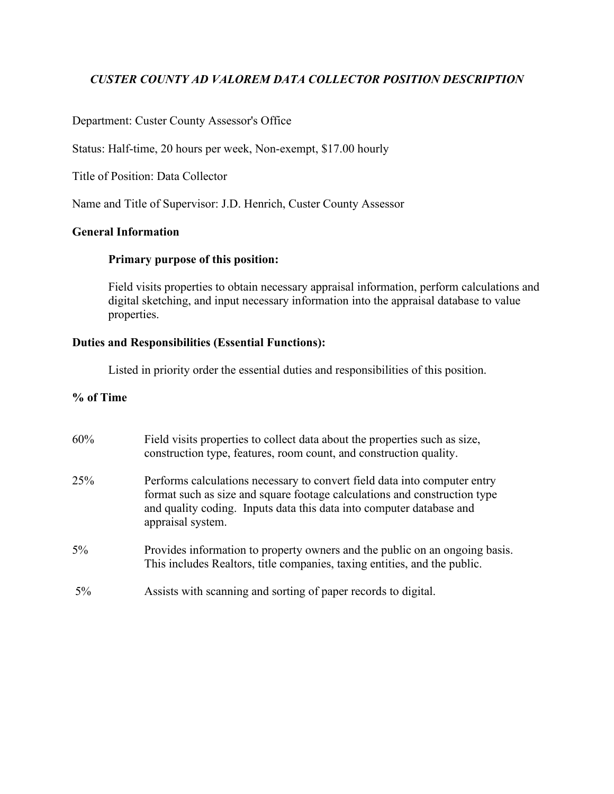# *CUSTER COUNTY AD VALOREM DATA COLLECTOR POSITION DESCRIPTION*

## Department: Custer County Assessor's Office

Status: Half-time, 20 hours per week, Non-exempt, \$17.00 hourly

Title of Position: Data Collector

Name and Title of Supervisor: J.D. Henrich, Custer County Assessor

## **General Information**

## **Primary purpose of this position:**

Field visits properties to obtain necessary appraisal information, perform calculations and digital sketching, and input necessary information into the appraisal database to value properties.

## **Duties and Responsibilities (Essential Functions):**

Listed in priority order the essential duties and responsibilities of this position.

## **% of Time**

| 60%   | Field visits properties to collect data about the properties such as size,<br>construction type, features, room count, and construction quality.                                                                                                    |
|-------|-----------------------------------------------------------------------------------------------------------------------------------------------------------------------------------------------------------------------------------------------------|
| 25%   | Performs calculations necessary to convert field data into computer entry<br>format such as size and square footage calculations and construction type<br>and quality coding. Inputs data this data into computer database and<br>appraisal system. |
| 5%    | Provides information to property owners and the public on an ongoing basis.<br>This includes Realtors, title companies, taxing entities, and the public.                                                                                            |
| $5\%$ | Assists with scanning and sorting of paper records to digital.                                                                                                                                                                                      |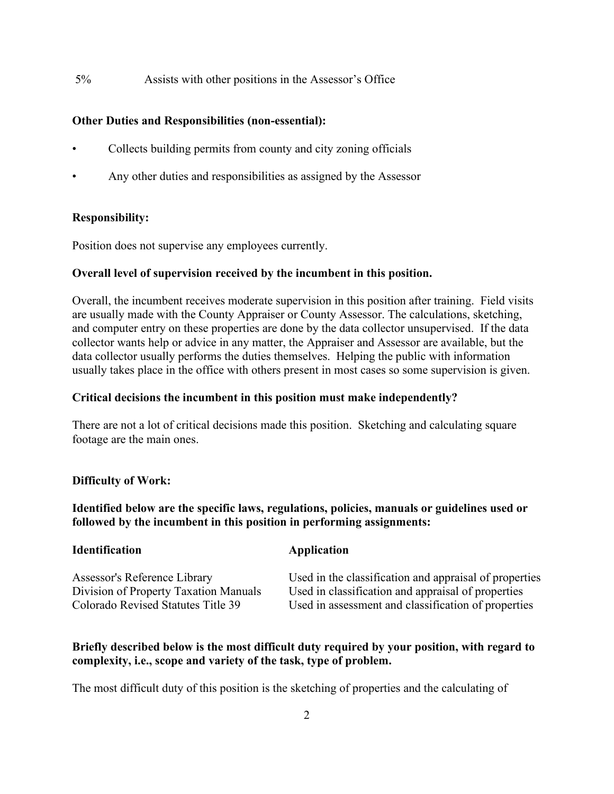5% Assists with other positions in the Assessor's Office

## **Other Duties and Responsibilities (non-essential):**

- Collects building permits from county and city zoning officials
- Any other duties and responsibilities as assigned by the Assessor

### **Responsibility:**

Position does not supervise any employees currently.

### **Overall level of supervision received by the incumbent in this position.**

Overall, the incumbent receives moderate supervision in this position after training. Field visits are usually made with the County Appraiser or County Assessor. The calculations, sketching, and computer entry on these properties are done by the data collector unsupervised. If the data collector wants help or advice in any matter, the Appraiser and Assessor are available, but the data collector usually performs the duties themselves. Helping the public with information usually takes place in the office with others present in most cases so some supervision is given.

#### **Critical decisions the incumbent in this position must make independently?**

There are not a lot of critical decisions made this position. Sketching and calculating square footage are the main ones.

#### **Difficulty of Work:**

**Identified below are the specific laws, regulations, policies, manuals or guidelines used or followed by the incumbent in this position in performing assignments:**

| <b>Identification</b>                 | Application                                            |
|---------------------------------------|--------------------------------------------------------|
| Assessor's Reference Library          | Used in the classification and appraisal of properties |
| Division of Property Taxation Manuals | Used in classification and appraisal of properties     |
| Colorado Revised Statutes Title 39    | Used in assessment and classification of properties    |

## **Briefly described below is the most difficult duty required by your position, with regard to complexity, i.e., scope and variety of the task, type of problem.**

The most difficult duty of this position is the sketching of properties and the calculating of